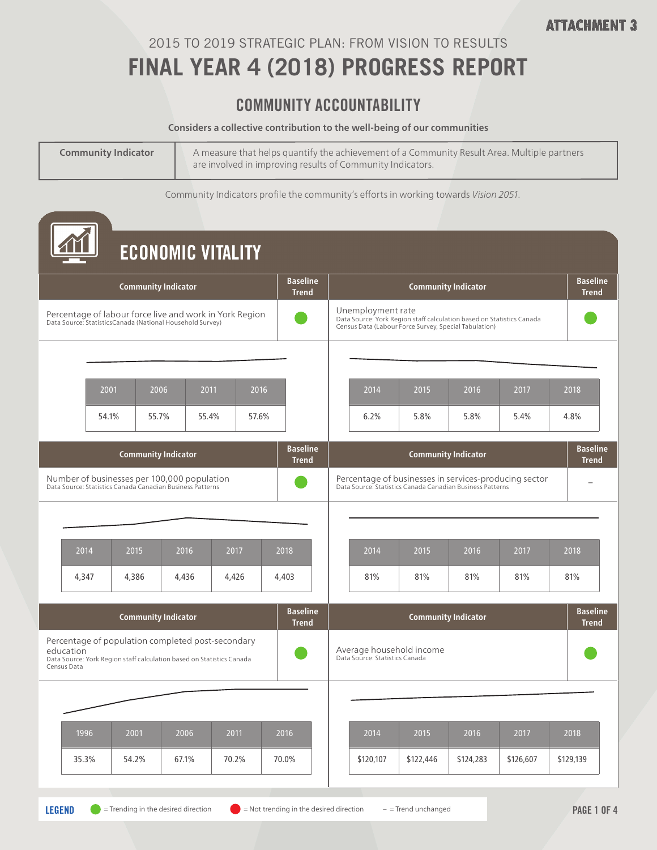### 2015 TO 2019 STRATEGIC PLAN: FROM VISION TO RESULTS

## **FINAL YEAR 4 (2018) PROGRESS REPORT**

#### COMMUNITY ACCOUNTABILITY

#### **Considers a collective contribution to the well-being of our communities**

| <b>Community Indicator</b> | A measure that helps quantify the achievement of a Community Result Area. Multiple partners<br>are involved in improving results of Community Indicators. |
|----------------------------|-----------------------------------------------------------------------------------------------------------------------------------------------------------|
|                            |                                                                                                                                                           |

Community Indicators profile the community's efforts in working towards *Vision 2051*.

|                          |                                                                                                                      |                            |                                                                                                                            | <b>ECONOMIC VITALITY</b> |                                 |  |                                                                                                                                                     |           |                            |           |                                 |  |
|--------------------------|----------------------------------------------------------------------------------------------------------------------|----------------------------|----------------------------------------------------------------------------------------------------------------------------|--------------------------|---------------------------------|--|-----------------------------------------------------------------------------------------------------------------------------------------------------|-----------|----------------------------|-----------|---------------------------------|--|
|                          |                                                                                                                      | <b>Community Indicator</b> |                                                                                                                            |                          | <b>Baseline</b><br><b>Trend</b> |  | <b>Baseline</b><br><b>Community Indicator</b><br><b>Trend</b>                                                                                       |           |                            |           |                                 |  |
|                          | Percentage of labour force live and work in York Region<br>Data Source: StatisticsCanada (National Household Survey) |                            |                                                                                                                            |                          |                                 |  | Unemployment rate<br>Data Source: York Region staff calculation based on Statistics Canada<br>Census Data (Labour Force Survey, Special Tabulation) |           |                            |           |                                 |  |
|                          |                                                                                                                      |                            |                                                                                                                            |                          |                                 |  |                                                                                                                                                     |           |                            |           |                                 |  |
|                          | 2001                                                                                                                 | 2006                       | 2011                                                                                                                       | 2016                     |                                 |  | 2014                                                                                                                                                | 2015      | 2016                       | 2017      | 2018                            |  |
|                          | 54.1%                                                                                                                | 55.7%                      | 55.4%                                                                                                                      | 57.6%                    |                                 |  | 6.2%                                                                                                                                                | 5.8%      | 5.8%                       | 5.4%      | 4.8%                            |  |
|                          |                                                                                                                      | <b>Community Indicator</b> |                                                                                                                            |                          | <b>Baseline</b><br><b>Trend</b> |  |                                                                                                                                                     |           | <b>Community Indicator</b> |           | <b>Baseline</b><br><b>Trend</b> |  |
|                          |                                                                                                                      |                            | Number of businesses per 100,000 population<br>Data Source: Statistics Canada Canadian Business Patterns                   |                          |                                 |  | Percentage of businesses in services-producing sector<br>Data Source: Statistics Canada Canadian Business Patterns                                  |           |                            |           |                                 |  |
|                          |                                                                                                                      |                            |                                                                                                                            |                          |                                 |  |                                                                                                                                                     |           |                            |           |                                 |  |
|                          | 2014                                                                                                                 | 2015                       | 2016                                                                                                                       | 2017                     | 2018                            |  | 2014                                                                                                                                                | 2015      | 2016                       | 2017      | 2018                            |  |
|                          | 4,347                                                                                                                | 4,386                      | 4,436                                                                                                                      | 4,426                    | 4,403                           |  | 81%                                                                                                                                                 | 81%       | 81%                        | 81%       | 81%                             |  |
|                          |                                                                                                                      | <b>Community Indicator</b> |                                                                                                                            |                          | <b>Baseline</b><br><b>Trend</b> |  |                                                                                                                                                     |           | <b>Community Indicator</b> |           | <b>Baseline</b><br><b>Trend</b> |  |
| education<br>Census Data |                                                                                                                      |                            | Percentage of population completed post-secondary<br>Data Source: York Region staff calculation based on Statistics Canada |                          |                                 |  | Average household income<br>Data Source: Statistics Canada                                                                                          |           |                            |           |                                 |  |
|                          |                                                                                                                      |                            |                                                                                                                            |                          |                                 |  |                                                                                                                                                     |           |                            |           |                                 |  |
|                          | 1996                                                                                                                 | 2001                       | 2006                                                                                                                       | 2011                     | 2016                            |  | 2014                                                                                                                                                | 2015      | 2016                       | 2017      | 2018                            |  |
|                          | 35.3%                                                                                                                | 54.2%                      | 67.1%                                                                                                                      | 70.2%                    | 70.0%                           |  | \$120,107                                                                                                                                           | \$122,446 | \$124,283                  | \$126,607 | \$129,139                       |  |
|                          |                                                                                                                      |                            |                                                                                                                            |                          |                                 |  |                                                                                                                                                     |           |                            |           |                                 |  |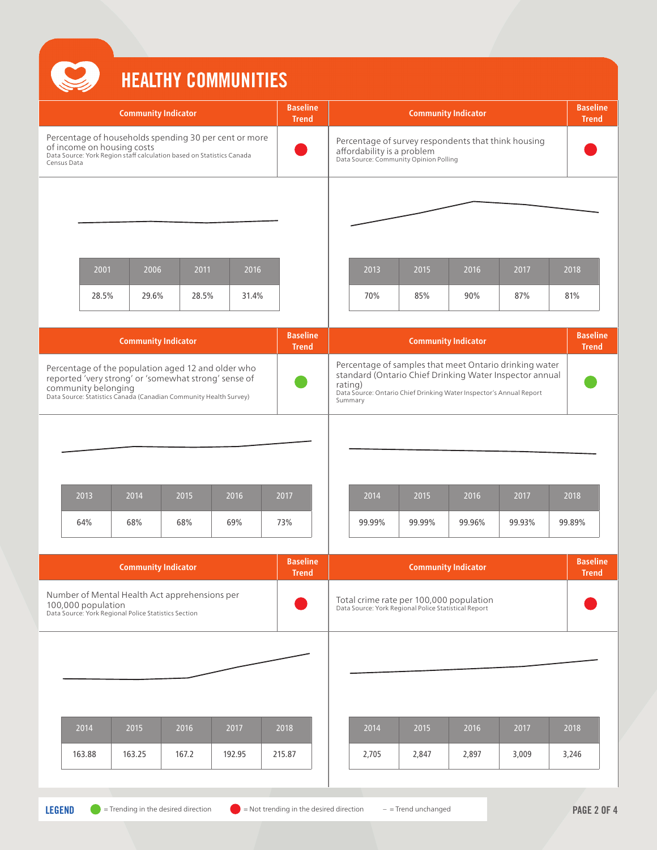# HEALTHY COMMUNITIES

|  |                                           |                                                                                                                                                                                 |                                                                       | IILALIII VVIIIIVIIIILV                                |                                                                                                                                                                                                                |                                                                                                                             |        |                            |        |                                 |
|--|-------------------------------------------|---------------------------------------------------------------------------------------------------------------------------------------------------------------------------------|-----------------------------------------------------------------------|-------------------------------------------------------|----------------------------------------------------------------------------------------------------------------------------------------------------------------------------------------------------------------|-----------------------------------------------------------------------------------------------------------------------------|--------|----------------------------|--------|---------------------------------|
|  |                                           | <b>Community Indicator</b>                                                                                                                                                      |                                                                       |                                                       | <b>Baseline</b><br><b>Trend</b>                                                                                                                                                                                |                                                                                                                             |        | <b>Community Indicator</b> |        | <b>Baseline</b><br><b>Trend</b> |
|  | of income on housing costs<br>Census Data |                                                                                                                                                                                 | Data Source: York Region staff calculation based on Statistics Canada | Percentage of households spending 30 per cent or more |                                                                                                                                                                                                                | Percentage of survey respondents that think housing<br>affordability is a problem<br>Data Source: Community Opinion Polling |        |                            |        |                                 |
|  |                                           |                                                                                                                                                                                 |                                                                       |                                                       |                                                                                                                                                                                                                |                                                                                                                             |        |                            |        |                                 |
|  | 2001                                      | 2006                                                                                                                                                                            | 2011                                                                  | 2016                                                  |                                                                                                                                                                                                                | 2013                                                                                                                        | 2015   | 2016                       | 2017   | 2018                            |
|  | 28.5%                                     | 29.6%                                                                                                                                                                           | 28.5%                                                                 | 31.4%                                                 |                                                                                                                                                                                                                | 70%                                                                                                                         | 85%    | 90%                        | 87%    | 81%                             |
|  |                                           | <b>Community Indicator</b>                                                                                                                                                      |                                                                       |                                                       | <b>Baseline</b><br><b>Trend</b>                                                                                                                                                                                |                                                                                                                             |        | <b>Community Indicator</b> |        | <b>Baseline</b><br><b>Trend</b> |
|  | community belonging                       | Percentage of the population aged 12 and older who<br>reported 'very strong' or 'somewhat strong' sense of<br>Data Source: Statistics Canada (Canadian Community Health Survey) |                                                                       |                                                       | Percentage of samples that meet Ontario drinking water<br>standard (Ontario Chief Drinking Water Inspector annual<br>rating)<br>Data Source: Ontario Chief Drinking Water Inspector's Annual Report<br>Summary |                                                                                                                             |        |                            |        |                                 |
|  |                                           |                                                                                                                                                                                 |                                                                       |                                                       |                                                                                                                                                                                                                |                                                                                                                             |        |                            |        |                                 |
|  | 2013                                      | 2014                                                                                                                                                                            | 2015                                                                  | 2016                                                  | 2017                                                                                                                                                                                                           | 2014                                                                                                                        | 2015   | 2016                       | 2017   | 2018                            |
|  | 64%                                       | 68%                                                                                                                                                                             | 68%                                                                   | 69%                                                   | 73%                                                                                                                                                                                                            | 99.99%                                                                                                                      | 99.99% | 99.96%                     | 99.93% | 99.89%                          |
|  |                                           | <b>Community Indicator</b>                                                                                                                                                      |                                                                       |                                                       | <b>Baseline</b><br><b>Trend</b>                                                                                                                                                                                |                                                                                                                             |        | <b>Community Indicator</b> |        | <b>Baseline</b><br><b>Trend</b> |
|  |                                           | 100,000 population<br>Data Source: York Regional Police Statistics Section                                                                                                      | Number of Mental Health Act apprehensions per                         |                                                       |                                                                                                                                                                                                                | Total crime rate per 100,000 population<br>Data Source: York Regional Police Statistical Report                             |        |                            |        |                                 |
|  |                                           |                                                                                                                                                                                 |                                                                       |                                                       |                                                                                                                                                                                                                |                                                                                                                             |        |                            |        |                                 |
|  |                                           |                                                                                                                                                                                 |                                                                       |                                                       |                                                                                                                                                                                                                |                                                                                                                             |        |                            |        |                                 |
|  | 2014                                      | 2015                                                                                                                                                                            | 2016                                                                  | 2017                                                  | 2018                                                                                                                                                                                                           | 2014                                                                                                                        | 2015   | 2016                       | 2017   | 2018                            |
|  | 163.88                                    | 163.25                                                                                                                                                                          | 167.2                                                                 | 192.95                                                | 215.87                                                                                                                                                                                                         | 2,705                                                                                                                       | 2,847  | 2,897                      | 3,009  | 3,246                           |
|  |                                           |                                                                                                                                                                                 |                                                                       |                                                       |                                                                                                                                                                                                                |                                                                                                                             |        |                            |        |                                 |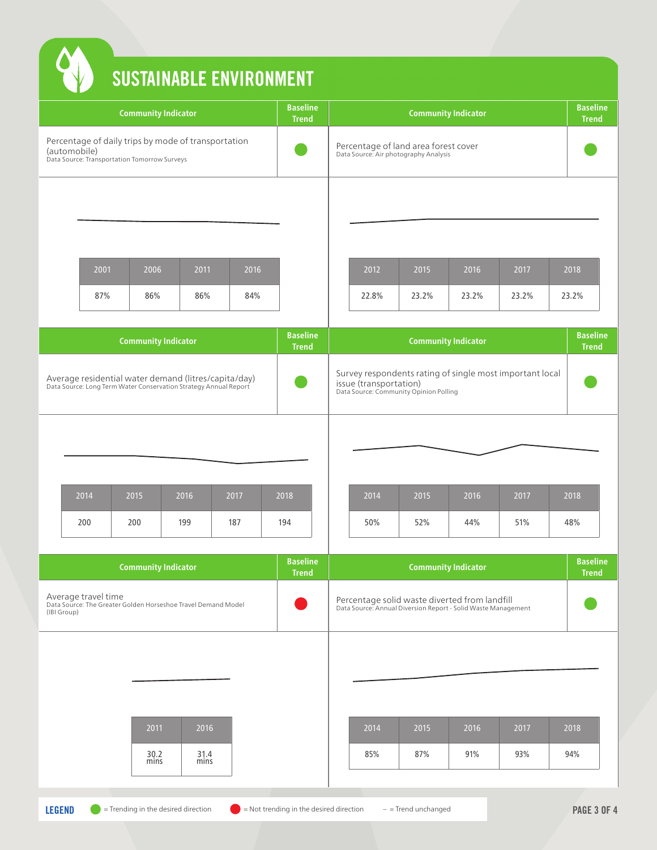|                                                                                                     |              |             |                                                                                                                                                               | <b>Baseline</b><br><b>Trend</b>                                                                                                                                                                        | <b>Community Indicator</b>                                                                                                   |       |       |                                                          |                                 |  |
|-----------------------------------------------------------------------------------------------------|--------------|-------------|---------------------------------------------------------------------------------------------------------------------------------------------------------------|--------------------------------------------------------------------------------------------------------------------------------------------------------------------------------------------------------|------------------------------------------------------------------------------------------------------------------------------|-------|-------|----------------------------------------------------------|---------------------------------|--|
|                                                                                                     |              |             |                                                                                                                                                               |                                                                                                                                                                                                        | Percentage of land area forest cover<br>Data Source: Air photography Analysis                                                |       |       |                                                          |                                 |  |
|                                                                                                     |              |             |                                                                                                                                                               |                                                                                                                                                                                                        |                                                                                                                              |       |       |                                                          |                                 |  |
|                                                                                                     |              |             | 2016                                                                                                                                                          |                                                                                                                                                                                                        | 2012<br>2015<br>2016<br>2017                                                                                                 |       |       |                                                          | 2018                            |  |
|                                                                                                     |              |             | 84%                                                                                                                                                           |                                                                                                                                                                                                        | 22.8%                                                                                                                        | 23.2% | 23.2% | 23.2%                                                    | 23.2%                           |  |
|                                                                                                     |              |             |                                                                                                                                                               | <b>Baseline</b>                                                                                                                                                                                        |                                                                                                                              |       |       |                                                          | <b>Baseline</b><br><b>Trend</b> |  |
|                                                                                                     |              |             |                                                                                                                                                               |                                                                                                                                                                                                        | Survey respondents rating of single most important local<br>issue (transportation)<br>Data Source: Community Opinion Polling |       |       |                                                          |                                 |  |
|                                                                                                     |              |             |                                                                                                                                                               |                                                                                                                                                                                                        |                                                                                                                              |       |       |                                                          |                                 |  |
| 2014                                                                                                | 2015         | 2016        | 2017                                                                                                                                                          | 2018                                                                                                                                                                                                   | 2014                                                                                                                         | 2015  | 2016  | 2017                                                     | 2018                            |  |
| 200                                                                                                 | 200          | 199         | 187                                                                                                                                                           | 194                                                                                                                                                                                                    | 50%                                                                                                                          | 52%   | 44%   | 51%                                                      | 48%                             |  |
|                                                                                                     |              |             |                                                                                                                                                               | <b>Baseline</b><br><b>Trend</b>                                                                                                                                                                        |                                                                                                                              |       |       |                                                          | <b>Baseline</b><br><b>Trend</b> |  |
| Average travel time<br>Data Source: The Greater Golden Horseshoe Travel Demand Model<br>(IBI Group) |              |             |                                                                                                                                                               |                                                                                                                                                                                                        | Percentage solid waste diverted from landfill<br>Data Source: Annual Diversion Report - Solid Waste Management               |       |       |                                                          |                                 |  |
|                                                                                                     |              |             |                                                                                                                                                               |                                                                                                                                                                                                        |                                                                                                                              |       |       |                                                          |                                 |  |
|                                                                                                     |              |             |                                                                                                                                                               |                                                                                                                                                                                                        |                                                                                                                              |       |       |                                                          |                                 |  |
|                                                                                                     |              |             |                                                                                                                                                               |                                                                                                                                                                                                        | 2014                                                                                                                         | 2015  | 2016  | 2017                                                     | 2018                            |  |
|                                                                                                     |              |             |                                                                                                                                                               |                                                                                                                                                                                                        |                                                                                                                              |       |       |                                                          |                                 |  |
|                                                                                                     | (automobile) | 2001<br>87% | <b>Community Indicator</b><br>Data Source: Transportation Tomorrow Surveys<br>2006<br>86%<br><b>Community Indicator</b><br><b>Community Indicator</b><br>2011 | Percentage of daily trips by mode of transportation<br>2011<br>86%<br>Average residential water demand (litres/capita/day)<br>Data Source: Long Term Water Conservation Strategy Annual Report<br>2016 | <b>SUSTAINABLE ENVIRONMENT</b><br><b>Trend</b>                                                                               |       |       | <b>Community Indicator</b><br><b>Community Indicator</b> |                                 |  |